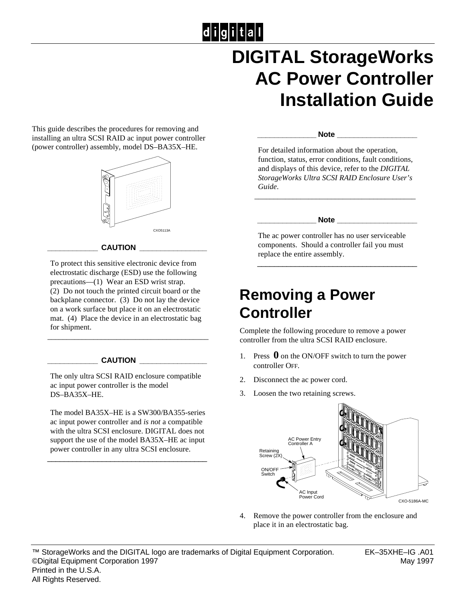# 

## **DIGITAL StorageWorks AC Power Controller Installation Guide**

This guide describes the procedures for removing and installing an ultra SCSI RAID ac input power controller (power controller) assembly, model DS–BA35X–HE.



#### $CAUTION$

To protect this sensitive electronic device from electrostatic discharge (ESD) use the following precautions—(1) Wear an ESD wrist strap. (2) Do not touch the printed circuit board or the backplane connector. (3) Do not lay the device on a work surface but place it on an electrostatic mat. (4) Place the device in an electrostatic bag for shipment.

\_\_\_\_\_\_\_\_\_\_\_\_\_\_\_\_\_\_\_\_\_\_\_\_\_\_\_\_\_\_\_\_\_\_\_\_\_\_\_\_\_\_

#### $CAUTION$

The only ultra SCSI RAID enclosure compatible ac input power controller is the model DS–BA35X–HE.

The model BA35X–HE is a SW300/BA355-series ac input power controller and *is not* a compatible with the ultra SCSI enclosure. DIGITAL does not support the use of the model BA35X–HE ac input power controller in any ultra SCSI enclosure.

\_\_\_\_\_\_\_\_\_\_\_\_\_\_\_\_\_\_\_\_\_\_\_\_\_\_\_\_\_\_\_\_\_\_\_\_\_\_

#### **\_\_\_\_\_\_\_\_\_\_\_\_\_\_ Note \_\_\_\_\_\_\_\_\_\_\_\_\_\_\_\_\_\_\_**

For detailed information about the operation, function, status, error conditions, fault conditions, and displays of this device, refer to the *DIGITAL StorageWorks Ultra SCSI RAID Enclosure User's Guide*.

\_\_\_\_\_\_\_\_\_\_\_\_\_\_\_\_\_\_\_\_\_\_\_\_\_\_\_\_\_\_\_\_\_\_\_\_\_\_\_\_\_\_

#### $\bf Note$

The ac power controller has no user serviceable components. Should a controller fail you must replace the entire assembly.

\_\_\_\_\_\_\_\_\_\_\_\_\_\_\_\_\_\_\_\_\_\_\_\_\_\_\_\_\_\_\_\_\_\_\_\_\_\_

### **Removing a Power Controller**

Complete the following procedure to remove a power controller from the ultra SCSI RAID enclosure.

- 1. Press **0** on the ON/OFF switch to turn the power controller OFF.
- 2. Disconnect the ac power cord.
- 3. Loosen the two retaining screws.



Remove the power controller from the enclosure and place it in an electrostatic bag.